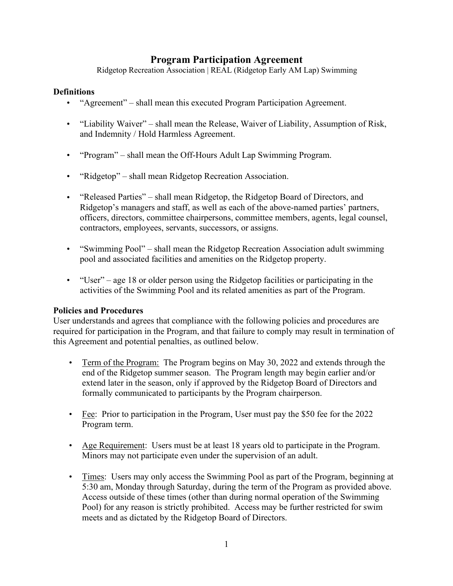## **Program Participation Agreement**

Ridgetop Recreation Association | REAL (Ridgetop Early AM Lap) Swimming

## **Definitions**

- "Agreement" shall mean this executed Program Participation Agreement.
- "Liability Waiver" shall mean the Release, Waiver of Liability, Assumption of Risk, and Indemnity / Hold Harmless Agreement.
- "Program" shall mean the Off-Hours Adult Lap Swimming Program.
- "Ridgetop" shall mean Ridgetop Recreation Association.
- "Released Parties" shall mean Ridgetop, the Ridgetop Board of Directors, and Ridgetop's managers and staff, as well as each of the above-named parties' partners, officers, directors, committee chairpersons, committee members, agents, legal counsel, contractors, employees, servants, successors, or assigns.
- "Swimming Pool" shall mean the Ridgetop Recreation Association adult swimming pool and associated facilities and amenities on the Ridgetop property.
- "User" age 18 or older person using the Ridgetop facilities or participating in the activities of the Swimming Pool and its related amenities as part of the Program.

## **Policies and Procedures**

User understands and agrees that compliance with the following policies and procedures are required for participation in the Program, and that failure to comply may result in termination of this Agreement and potential penalties, as outlined below.

- Term of the Program: The Program begins on May 30, 2022 and extends through the end of the Ridgetop summer season. The Program length may begin earlier and/or extend later in the season, only if approved by the Ridgetop Board of Directors and formally communicated to participants by the Program chairperson.
- Fee: Prior to participation in the Program, User must pay the \$50 fee for the 2022 Program term.
- Age Requirement: Users must be at least 18 years old to participate in the Program. Minors may not participate even under the supervision of an adult.
- Times: Users may only access the Swimming Pool as part of the Program, beginning at 5:30 am, Monday through Saturday, during the term of the Program as provided above. Access outside of these times (other than during normal operation of the Swimming Pool) for any reason is strictly prohibited. Access may be further restricted for swim meets and as dictated by the Ridgetop Board of Directors.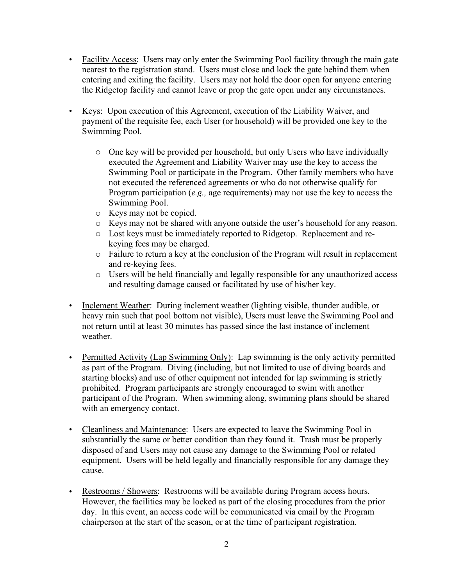- Facility Access: Users may only enter the Swimming Pool facility through the main gate nearest to the registration stand. Users must close and lock the gate behind them when entering and exiting the facility. Users may not hold the door open for anyone entering the Ridgetop facility and cannot leave or prop the gate open under any circumstances.
- Keys: Upon execution of this Agreement, execution of the Liability Waiver, and payment of the requisite fee, each User (or household) will be provided one key to the Swimming Pool.
	- o One key will be provided per household, but only Users who have individually executed the Agreement and Liability Waiver may use the key to access the Swimming Pool or participate in the Program. Other family members who have not executed the referenced agreements or who do not otherwise qualify for Program participation (*e.g.,* age requirements) may not use the key to access the Swimming Pool.
	- o Keys may not be copied.
	- o Keys may not be shared with anyone outside the user's household for any reason.
	- o Lost keys must be immediately reported to Ridgetop. Replacement and rekeying fees may be charged.
	- o Failure to return a key at the conclusion of the Program will result in replacement and re-keying fees.
	- o Users will be held financially and legally responsible for any unauthorized access and resulting damage caused or facilitated by use of his/her key.
- Inclement Weather: During inclement weather (lighting visible, thunder audible, or heavy rain such that pool bottom not visible), Users must leave the Swimming Pool and not return until at least 30 minutes has passed since the last instance of inclement weather.
- Permitted Activity (Lap Swimming Only): Lap swimming is the only activity permitted as part of the Program. Diving (including, but not limited to use of diving boards and starting blocks) and use of other equipment not intended for lap swimming is strictly prohibited. Program participants are strongly encouraged to swim with another participant of the Program. When swimming along, swimming plans should be shared with an emergency contact.
- Cleanliness and Maintenance: Users are expected to leave the Swimming Pool in substantially the same or better condition than they found it. Trash must be properly disposed of and Users may not cause any damage to the Swimming Pool or related equipment. Users will be held legally and financially responsible for any damage they cause.
- Restrooms / Showers: Restrooms will be available during Program access hours. However, the facilities may be locked as part of the closing procedures from the prior day. In this event, an access code will be communicated via email by the Program chairperson at the start of the season, or at the time of participant registration.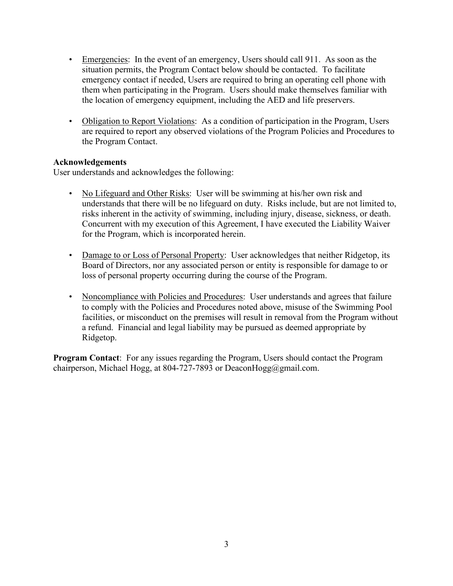- Emergencies: In the event of an emergency, Users should call 911. As soon as the situation permits, the Program Contact below should be contacted. To facilitate emergency contact if needed, Users are required to bring an operating cell phone with them when participating in the Program. Users should make themselves familiar with the location of emergency equipment, including the AED and life preservers.
- Obligation to Report Violations: As a condition of participation in the Program, Users are required to report any observed violations of the Program Policies and Procedures to the Program Contact.

## **Acknowledgements**

User understands and acknowledges the following:

- No Lifeguard and Other Risks: User will be swimming at his/her own risk and understands that there will be no lifeguard on duty. Risks include, but are not limited to, risks inherent in the activity of swimming, including injury, disease, sickness, or death. Concurrent with my execution of this Agreement, I have executed the Liability Waiver for the Program, which is incorporated herein.
- Damage to or Loss of Personal Property: User acknowledges that neither Ridgetop, its Board of Directors, nor any associated person or entity is responsible for damage to or loss of personal property occurring during the course of the Program.
- Noncompliance with Policies and Procedures: User understands and agrees that failure to comply with the Policies and Procedures noted above, misuse of the Swimming Pool facilities, or misconduct on the premises will result in removal from the Program without a refund. Financial and legal liability may be pursued as deemed appropriate by Ridgetop.

**Program Contact**: For any issues regarding the Program, Users should contact the Program chairperson, Michael Hogg, at 804-727-7893 or Deacon $Hogg(\omega gmail.com$ .